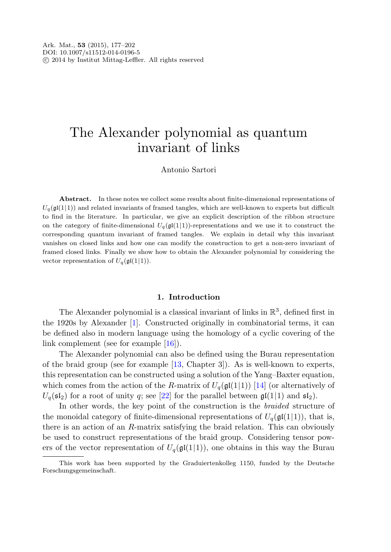# The Alexander polynomial as quantum invariant of links

# Antonio Sartori

Abstract. In these notes we collect some results about finite-dimensional representations of  $U_q(\mathfrak{gl}(1|1))$  and related invariants of framed tangles, which are well-known to experts but difficult to find in the literature. In particular, we give an explicit description of the ribbon structure on the category of finite-dimensional  $U_q(\mathfrak{gl}(1|1))$ -representations and we use it to construct the corresponding quantum invariant of framed tangles. We explain in detail why this invariant vanishes on closed links and how one can modify the construction to get a non-zero invariant of framed closed links. Finally we show how to obtain the Alexander polynomial by considering the vector representation of  $U_q(\mathfrak{gl}(1|1))$ .

#### **1. Introduction**

The Alexander polynomial is a classical invariant of links in  $\mathbb{R}^3$ , defined first in the 1920s by Alexander [[1\]](#page-24-0). Constructed originally in combinatorial terms, it can be defined also in modern language using the homology of a cyclic covering of the link complement (see for example [[16\]](#page-24-1)).

The Alexander polynomial can also be defined using the Burau representation of the braid group (see for example [[13,](#page-24-2) Chapter 3]). As is well-known to experts, this representation can be constructed using a solution of the Yang–Baxter equation, which comes from the action of the R-matrix of  $U_q(\mathfrak{gl}(1|1))$  [\[14](#page-24-3)] (or alternatively of  $U_q(\mathfrak{sl}_2)$  for a root of unity q; see [[22\]](#page-25-0) for the parallel between  $\mathfrak{gl}(1|1)$  and  $\mathfrak{sl}_2$ .

In other words, the key point of the construction is the braided structure of the monoidal category of finite-dimensional representations of  $U_q(\mathfrak{gl}(1|1)),$  that is, there is an action of an R-matrix satisfying the braid relation. This can obviously be used to construct representations of the braid group. Considering tensor powers of the vector representation of  $U_q(\text{gl}(1|1))$ , one obtains in this way the Burau

This work has been supported by the Graduiertenkolleg 1150, funded by the Deutsche Forschungsgemeinschaft.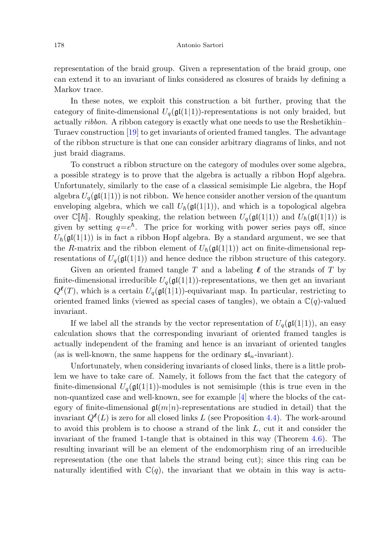representation of the braid group. Given a representation of the braid group, one can extend it to an invariant of links considered as closures of braids by defining a Markov trace.

In these notes, we exploit this construction a bit further, proving that the category of finite-dimensional  $U_q(\mathfrak{gl}(1|1))$ -representations is not only braided, but actually ribbon. A ribbon category is exactly what one needs to use the Reshetikhin– Turaev construction [\[19](#page-25-1)] to get invariants of oriented framed tangles. The advantage of the ribbon structure is that one can consider arbitrary diagrams of links, and not just braid diagrams.

To construct a ribbon structure on the category of modules over some algebra, a possible strategy is to prove that the algebra is actually a ribbon Hopf algebra. Unfortunately, similarly to the case of a classical semisimple Lie algebra, the Hopf algebra  $U_q(\mathfrak{gl}(1|1))$  is not ribbon. We hence consider another version of the quantum enveloping algebra, which we call  $U_{\hbar}(\mathfrak{gl}(1|1))$ , and which is a topological algebra over  $\mathbb{C}[\![\hbar]\!]$ . Roughly speaking, the relation between  $U_q(\mathfrak{gl}(1|1))$  and  $U_{\hbar}(\mathfrak{gl}(1|1))$  is given by setting  $q=e^{\hbar}$ . The price for working with power series pays off, since  $U_{\hbar}(\mathfrak{gl}(1|1))$  is in fact a ribbon Hopf algebra. By a standard argument, we see that the R-matrix and the ribbon element of  $U_{\hbar}(\mathfrak{gl}(1|1))$  act on finite-dimensional representations of  $U_q(\mathfrak{gl}(1|1))$  and hence deduce the ribbon structure of this category.

Given an oriented framed tangle T and a labeling  $\ell$  of the strands of T by finite-dimensional irreducible  $U_q(\mathfrak{gl}(1|1))$ -representations, we then get an invariant  $Q^{\ell}(T)$ , which is a certain  $U_q(\mathfrak{gl}(1|1))$ -equivariant map. In particular, restricting to oriented framed links (viewed as special cases of tangles), we obtain a  $\mathbb{C}(q)$ -valued invariant.

If we label all the strands by the vector representation of  $U_q(\mathfrak{gl}(1|1))$ , an easy calculation shows that the corresponding invariant of oriented framed tangles is actually independent of the framing and hence is an invariant of oriented tangles (as is well-known, the same happens for the ordinary  $\mathfrak{sl}_n$ -invariant).

Unfortunately, when considering invariants of closed links, there is a little problem we have to take care of. Namely, it follows from the fact that the category of finite-dimensional  $U_q(\mathfrak{gl}(1|1))$ -modules is not semisimple (this is true even in the non-quantized case and well-known, see for example [[4\]](#page-24-4) where the blocks of the category of finite-dimensional  $\mathfrak{gl}(m|n)$ -representations are studied in detail) that the invariant  $Q^{\ell}(L)$  is zero for all closed links L (see Proposition [4.4](#page-18-0)). The work-around to avoid this problem is to choose a strand of the link L, cut it and consider the invariant of the framed 1-tangle that is obtained in this way (Theorem [4.6\)](#page-20-0). The resulting invariant will be an element of the endomorphism ring of an irreducible representation (the one that labels the strand being cut); since this ring can be naturally identified with  $\mathbb{C}(q)$ , the invariant that we obtain in this way is actu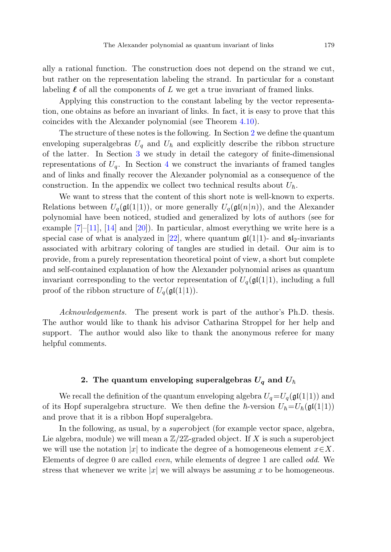ally a rational function. The construction does not depend on the strand we cut, but rather on the representation labeling the strand. In particular for a constant labeling  $\ell$  of all the components of  $L$  we get a true invariant of framed links.

Applying this construction to the constant labeling by the vector representation, one obtains as before an invariant of links. In fact, it is easy to prove that this coincides with the Alexander polynomial (see Theorem [4.10](#page-21-0)).

The structure of these notes is the following. In Section [2](#page-2-0) we define the quantum enveloping superalgebras  $U_q$  and  $U_{\hbar}$  and explicitly describe the ribbon structure of the latter. In Section [3](#page-9-0) we study in detail the category of finite-dimensional representations of  $U_q$ . In Section [4](#page-14-0) we construct the invariants of framed tangles and of links and finally recover the Alexander polynomial as a consequence of the construction. In the appendix we collect two technical results about  $U_{\hbar}$ .

We want to stress that the content of this short note is well-known to experts. Relations between  $U_q(\mathfrak{gl}(1|1))$ , or more generally  $U_q(\mathfrak{gl}(n|n))$ , and the Alexander polynomial have been noticed, studied and generalized by lots of authors (see for example  $[7]–[11]$  $[7]–[11]$  $[7]–[11]$ ,  $[14]$  $[14]$  and  $[20]$  $[20]$  $[20]$ ). In particular, almost everything we write here is a special case of what is analyzed in [[22\]](#page-25-0), where quantum  $\mathfrak{gl}(1|1)$ - and  $\mathfrak{sl}_2$ -invariants associated with arbitrary coloring of tangles are studied in detail. Our aim is to provide, from a purely representation theoretical point of view, a short but complete and self-contained explanation of how the Alexander polynomial arises as quantum invariant corresponding to the vector representation of  $U_q(\mathfrak{gl}(1|1))$ , including a full proof of the ribbon structure of  $U_q(\mathfrak{gl}(1|1))$ .

<span id="page-2-0"></span>Acknowledgements. The present work is part of the author's Ph.D. thesis. The author would like to thank his advisor Catharina Stroppel for her help and support. The author would also like to thank the anonymous referee for many helpful comments.

# 2. The quantum enveloping superalgebras  $U_q$  and  $U_\hbar$

We recall the definition of the quantum enveloping algebra  $U_q = U_q(\mathfrak{gl}(1|1))$  and of its Hopf superalgebra structure. We then define the  $\hbar$ -version  $U_{\hbar} = U_{\hbar}(\mathfrak{gl}(1|1))$ and prove that it is a ribbon Hopf superalgebra.

In the following, as usual, by a superobject (for example vector space, algebra, Lie algebra, module) we will mean a  $\mathbb{Z}/2\mathbb{Z}$ -graded object. If X is such a superobject we will use the notation |x| to indicate the degree of a homogeneous element  $x \in X$ . Elements of degree 0 are called even, while elements of degree 1 are called odd. We stress that whenever we write  $|x|$  we will always be assuming x to be homogeneous.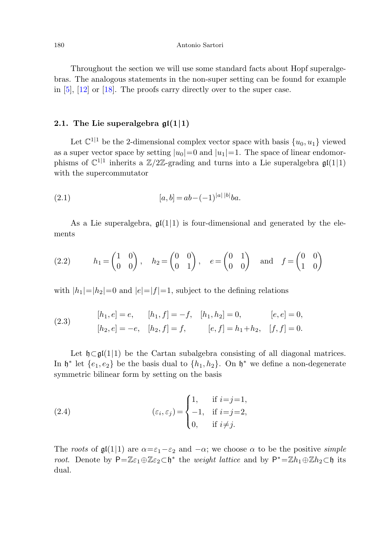Throughout the section we will use some standard facts about Hopf superalgebras. The analogous statements in the non-super setting can be found for example in [\[5](#page-24-7)], [[12\]](#page-24-8) or [[18\]](#page-25-3). The proofs carry directly over to the super case.

## **2.1. The Lie superalgebra gl(1***|***1)**

Let  $\mathbb{C}^{1|1}$  be the 2-dimensional complex vector space with basis  $\{u_0, u_1\}$  viewed as a super vector space by setting  $|u_0|=0$  and  $|u_1|=1$ . The space of linear endomorphisms of  $\mathbb{C}^{1|1}$  inherits a  $\mathbb{Z}/2\mathbb{Z}$ -grading and turns into a Lie superalgebra  $\mathfrak{gl}(1|1)$ with the supercommutator

(2.1) 
$$
[a,b] = ab - (-1)^{|a| |b|} ba.
$$

As a Lie superalgebra,  $\mathfrak{gl}(1|1)$  is four-dimensional and generated by the elements

(2.2) 
$$
h_1 = \begin{pmatrix} 1 & 0 \\ 0 & 0 \end{pmatrix}, \quad h_2 = \begin{pmatrix} 0 & 0 \\ 0 & 1 \end{pmatrix}, \quad e = \begin{pmatrix} 0 & 1 \\ 0 & 0 \end{pmatrix} \text{ and } f = \begin{pmatrix} 0 & 0 \\ 1 & 0 \end{pmatrix}
$$

with  $|h_1|=|h_2|=0$  and  $|e|=|f|=1$ , subject to the defining relations

(2.3) 
$$
[h_1, e] = e, \t[h_1, f] = -f, \t[h_1, h_2] = 0, \t[e, e] = 0,\n[h_2, e] = -e, \t[h_2, f] = f, \t[e, f] = h_1 + h_2, \t[f, f] = 0.
$$

Let  $\mathfrak{h}\subset\mathfrak{gl}(1|1)$  be the Cartan subalgebra consisting of all diagonal matrices. In  $\mathfrak{h}^*$  let  $\{e_1, e_2\}$  be the basis dual to  $\{h_1, h_2\}$ . On  $\mathfrak{h}^*$  we define a non-degenerate symmetric bilinear form by setting on the basis

(2.4) 
$$
(\varepsilon_i, \varepsilon_j) = \begin{cases} 1, & \text{if } i = j = 1, \\ -1, & \text{if } i = j = 2, \\ 0, & \text{if } i \neq j. \end{cases}
$$

The roots of  $\mathfrak{gl}(1|1)$  are  $\alpha = \varepsilon_1 - \varepsilon_2$  and  $-\alpha$ ; we choose  $\alpha$  to be the positive simple root. Denote by P= $\mathbb{Z}\varepsilon_1 \oplus \mathbb{Z}\varepsilon_2 \subset \mathfrak{h}^*$  the weight lattice and by  $\mathsf{P}^* = \mathbb{Z}h_1 \oplus \mathbb{Z}h_2 \subset \mathfrak{h}$  its dual.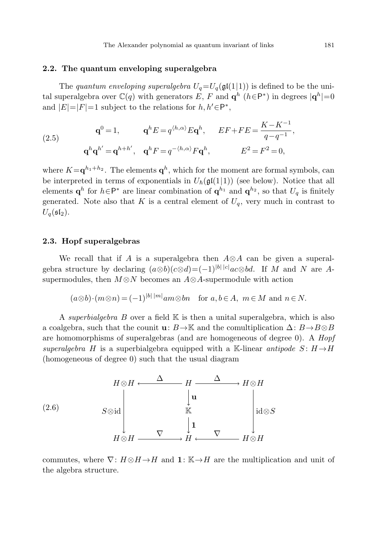# **2.2. The quantum enveloping superalgebra**

The quantum enveloping superalgebra  $U_q = U_q(\mathfrak{gl}(1|1))$  is defined to be the unital superalgebra over  $\mathbb{C}(q)$  with generators E, F and  $\mathbf{q}^h$  ( $h \in \mathsf{P}^*$ ) in degrees  $|\mathbf{q}^h|=0$ and  $|E|=|F|=1$  subject to the relations for  $h, h' \in P^*$ ,

(2.5) 
$$
\mathbf{q}^{0} = 1, \qquad \mathbf{q}^{h} E = q^{\langle h, \alpha \rangle} E \mathbf{q}^{h}, \qquad E F + F E = \frac{K - K^{-1}}{q - q^{-1}},
$$

$$
\mathbf{q}^{h} \mathbf{q}^{h'} = \mathbf{q}^{h+h'}, \quad \mathbf{q}^{h} F = q^{-\langle h, \alpha \rangle} F \mathbf{q}^{h}, \qquad E^{2} = F^{2} = 0,
$$

where  $K = \mathbf{q}^{h_1 + h_2}$ . The elements  $\mathbf{q}^h$ , which for the moment are formal symbols, can be interpreted in terms of exponentials in  $U_{\hbar}(\mathfrak{gl}(1|1))$  (see below). Notice that all elements  $\mathbf{q}^h$  for  $h \in \mathsf{P}^*$  are linear combination of  $\mathbf{q}^{h_1}$  and  $\mathbf{q}^{h_2}$ , so that  $U_q$  is finitely generated. Note also that K is a central element of  $U_q$ , very much in contrast to  $U_q(\mathfrak{sl}_2)$ .

# **2.3. Hopf superalgebras**

We recall that if A is a superalgebra then  $A \otimes A$  can be given a superalgebra structure by declaring  $(a \otimes b)(c \otimes d) = (-1)^{|b| |c|} ac \otimes bd$ . If M and N are Asupermodules, then  $M \otimes N$  becomes an  $A \otimes A$ -supermodule with action

$$
(a\otimes b)\cdot (m\otimes n) = (-1)^{|b||m|} am\otimes bn
$$
 for  $a, b \in A$ ,  $m \in M$  and  $n \in N$ .

A superbialgebra  $B$  over a field  $K$  is then a unital superalgebra, which is also a coalgebra, such that the counit **u**:  $B \rightarrow \mathbb{K}$  and the comultiplication  $\Delta: B \rightarrow B \otimes B$ are homomorphisms of superalgebras (and are homogeneous of degree 0). A Hopf superalgebra H is a superbialgebra equipped with a K-linear antipode  $S: H \rightarrow H$ (homogeneous of degree 0) such that the usual diagram



commutes, where  $\nabla: H\otimes H\to H$  and **1**: K→H are the multiplication and unit of the algebra structure.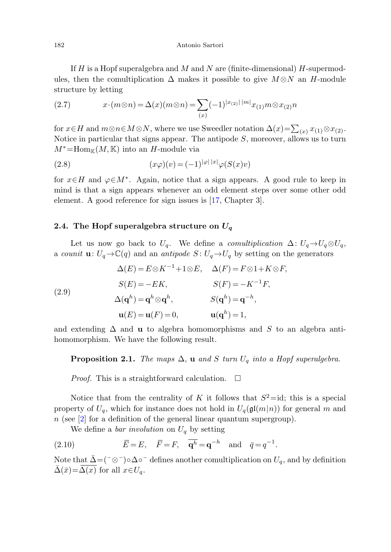If H is a Hopf superalgebra and M and N are (finite-dimensional) H-supermodules, then the comultiplication  $\Delta$  makes it possible to give  $M \otimes N$  an H-module structure by letting

(2.7) 
$$
x \cdot (m \otimes n) = \Delta(x) (m \otimes n) = \sum_{(x)} (-1)^{|x_{(2)}| \, |m|} x_{(1)} m \otimes x_{(2)} n
$$

for  $x\in H$  and  $m\otimes n\in M\otimes N$ , where we use Sweedler notation  $\Delta(x)=\sum_{(x)}x_{(1)}\otimes x_{(2)}$ . Notice in particular that signs appear. The antipode  $S$ , moreover, allows us to turn  $M^*$ =Hom<sub>K</sub> $(M, K)$  into an H-module via

(2.8) 
$$
(x\varphi)(v) = (-1)^{|\varphi| \, |x|} \varphi(S(x)v)
$$

for  $x \in H$  and  $\varphi \in M^*$ . Again, notice that a sign appears. A good rule to keep in mind is that a sign appears whenever an odd element steps over some other odd element. A good reference for sign issues is [[17,](#page-24-9) Chapter 3].

# **2.4. The Hopf superalgebra structure on** *U<sup>q</sup>*

Let us now go back to  $U_q$ . We define a *comultiplication*  $\Delta: U_q \rightarrow U_q \otimes U_q$ , a counit **u**:  $U_q \rightarrow \mathbb{C}(q)$  and an antipode  $S: U_q \rightarrow U_q$  by setting on the generators

<span id="page-5-0"></span>(2.9)  
\n
$$
\Delta(E) = E \otimes K^{-1} + 1 \otimes E, \quad \Delta(F) = F \otimes 1 + K \otimes F,
$$
\n
$$
S(E) = -EK, \qquad S(F) = -K^{-1}F,
$$
\n
$$
\Delta(\mathbf{q}^h) = \mathbf{q}^h \otimes \mathbf{q}^h, \qquad S(\mathbf{q}^h) = \mathbf{q}^{-h},
$$
\n
$$
\mathbf{u}(E) = \mathbf{u}(F) = 0, \qquad \mathbf{u}(\mathbf{q}^h) = 1,
$$

and extending  $\Delta$  and **u** to algebra homomorphisms and S to an algebra antihomomorphism. We have the following result.

**Proposition 2.1.** The maps  $\Delta$ , **u** and S turn  $U_q$  into a Hopf superalgebra.

*Proof.* This is a straightforward calculation.  $\Box$ 

Notice that from the centrality of K it follows that  $S^2=$ id; this is a special property of  $U_q$ , which for instance does not hold in  $U_q(\mathfrak{gl}(m|n))$  for general m and  $n$  (see [[2\]](#page-24-10) for a definition of the general linear quantum supergroup).

We define a *bar involution* on  $U_q$  by setting

(2.10)  $\overline{E} = E, \quad \overline{F} = F, \quad \overline{q^h} = q^{-h} \text{ and } \bar{q} = q^{-1}.$ 

Note that  $\bar{\Delta} = (\bar{\alpha} - \alpha)^{-1} \circ \Delta$ <sup>-</sup> defines another comultiplication on  $U_q$ , and by definition  $\bar{\Delta}(\bar{x}) = \Delta(x)$  for all  $x \in U_q$ .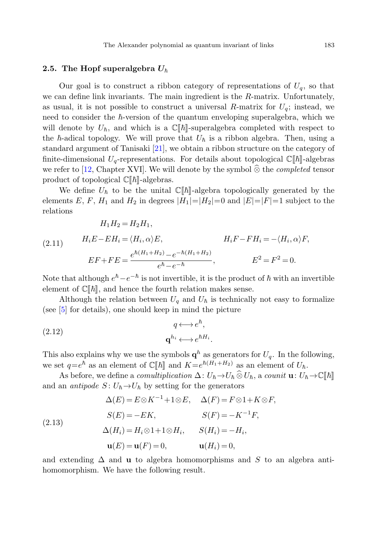# **2.5.** The Hopf superalgebra  $U_{\hbar}$

Our goal is to construct a ribbon category of representations of  $U_q$ , so that we can define link invariants. The main ingredient is the R-matrix. Unfortunately, as usual, it is not possible to construct a universal R-matrix for  $U_q$ ; instead, we need to consider the  $\hbar$ -version of the quantum enveloping superalgebra, which we will denote by  $U_{\hbar}$ , and which is a  $\mathbb{C}[\![\hbar]\!]$ -superalgebra completed with respect to the  $\hbar$ -adical topology. We will prove that  $U_{\hbar}$  is a ribbon algebra. Then, using a standard argument of Tanisaki [[21\]](#page-25-4), we obtain a ribbon structure on the category of finite-dimensional  $U_q$ -representations. For details about topological  $\mathbb{C}[[\hbar]]$ -algebras we refer to [\[12](#page-24-8), Chapter XVI]. We will denote by the symbol  $\otimes$  the *completed* tensor product of tensoriaal  $\mathbb{C}[\mathbb{R}^n]$  also has product of topological  $\mathbb{C}[\![\hbar]\!]$ -algebras.

We define  $U_{\hbar}$  to be the unital  $\mathbb{C}[\hbar]$ -algebra topologically generated by the elements E, F, H<sub>1</sub> and H<sub>2</sub> in degrees  $|H_1|=|H_2|=0$  and  $|E|=|F|=1$  subject to the relations

(2.11) 
$$
H_1 H_2 = H_2 H_1,
$$

$$
H_i E - E H_i = \langle H_i, \alpha \rangle E, \qquad H_i F - F H_i = -\langle H_i, \alpha \rangle F,
$$

$$
E F + F E = \frac{e^{\hbar (H_1 + H_2)} - e^{-\hbar (H_1 + H_2)}}{e^{\hbar} - e^{-\hbar}}, \qquad E^2 = F^2 = 0.
$$

Note that although  $e^{\hbar} - e^{-\hbar}$  is not invertible, it is the product of  $\hbar$  with an invertible element of  $\mathbb{C}[\![\hbar]\!]$ , and hence the fourth relation makes sense.

Although the relation between  $U_q$  and  $U_h$  is technically not easy to formalize (see [\[5](#page-24-7)] for details), one should keep in mind the picture

(2.12) 
$$
q \longleftrightarrow e^{\hbar},
$$

$$
\mathbf{q}^{h_i} \longleftrightarrow e^{\hbar H_i}.
$$

This also explains why we use the symbols  $\mathbf{q}^h$  as generators for  $U_q$ . In the following, we set  $q=e^{\hbar}$  as an element of  $\mathbb{C}[\![\hbar]\!]$  and  $K=e^{\hbar(H_1+H_2)}$  as an element of  $U_{\hbar}$ .

As before, we define a *comultiplication*  $\Delta: U_{\hbar} \to U_{\hbar} \widehat{\otimes} U_{\hbar}$ , a *counit* **u**:  $U_{\hbar} \to \mathbb{C}[[\hbar]]$ <br>so entineds  $S: U_{\hbar} \to U_{\hbar}$  by estting for the generators and an *antipode*  $S: U_{\hbar} \to U_{\hbar}$  by setting for the generators

(2.13)  
\n
$$
\Delta(E) = E \otimes K^{-1} + 1 \otimes E, \quad \Delta(F) = F \otimes 1 + K \otimes F,
$$
\n
$$
S(E) = -EK, \qquad S(F) = -K^{-1}F,
$$
\n
$$
\Delta(H_i) = H_i \otimes 1 + 1 \otimes H_i, \qquad S(H_i) = -H_i,
$$
\n
$$
\mathbf{u}(E) = \mathbf{u}(F) = 0, \qquad \mathbf{u}(H_i) = 0,
$$

and extending  $\Delta$  and **u** to algebra homomorphisms and S to an algebra antihomomorphism. We have the following result.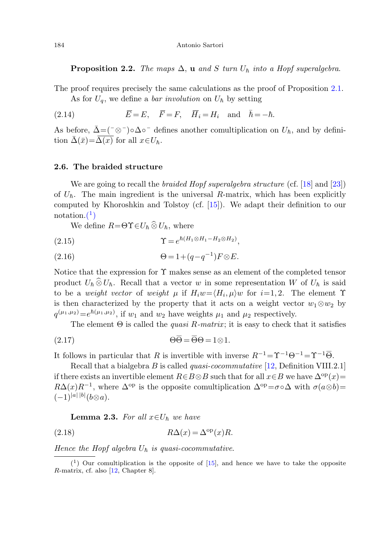**Proposition 2.2.** The maps  $\Delta$ , **u** and S turn  $U_h$  into a Hopf superalgebra.

The proof requires precisely the same calculations as the proof of Proposition [2.1.](#page-5-0) As for  $U_q$ , we define a *bar involution* on  $U_{\hbar}$  by setting

(2.14) 
$$
\overline{E} = E, \quad \overline{F} = F, \quad \overline{H}_i = H_i \quad \text{and} \quad \overline{h} = -\hbar.
$$

As before,  $\bar{\Delta} = (\bar{\sigma}^{\dagger}) \circ \Delta \circ \bar{\sigma}$  defines another comultiplication on  $U_{\hbar}$ , and by definition  $\bar{\Delta}(\bar{x}) = \overline{\Delta(x)}$  for all  $x \in U_{\hbar}$ .

#### **2.6. The braided structure**

<span id="page-7-1"></span>We are going to recall the *braided Hopf superalgebra structure* (cf. [\[18](#page-25-3)] and [\[23\]](#page-25-5)) of  $U_{\hbar}$ . The main ingredient is the universal R-matrix, which has been explicitly computed by Khoroshkin and Tolstoy (cf. [\[15](#page-24-11)]). We adapt their definition to our notation. $(1)$  $(1)$ 

We define  $R = \Theta \Upsilon \in U_{\hbar} \otimes U_{\hbar}$ , where

$$
\Upsilon = e^{\hbar (H_1 \otimes H_1 - H_2 \otimes H_2)},
$$

$$
(2.16) \qquad \Theta = 1 + (q - q^{-1})F \otimes E.
$$

Notice that the expression for  $\Upsilon$  makes sense as an element of the completed tensor product  $U_h \otimes U_h$ . Recall that a vector w in some representation W of  $U_h$  is said<br>to be a weight weter of weight w if  $H_{\text{sym}}/H_{\text{sym}}$  for i=1.2. The element  $\Upsilon$ to be a *weight vector* of *weight*  $\mu$  if  $H_i w = \langle H_i, \mu \rangle w$  for  $i=1,2$ . The element  $\Upsilon$ is then characterized by the property that it acts on a weight vector  $w_1 \otimes w_2$  by  $q^{(\mu_1,\mu_2)} = e^{\hbar(\mu_1,\mu_2)}$ , if  $w_1$  and  $w_2$  have weights  $\mu_1$  and  $\mu_2$  respectively. (2.15)<br>
(2.16)  $\theta = 1 + (q - q^{-1})F \otimes$ <br>
Notation.<sup>(1</sup>)<br>
We define  $R = \Theta \Upsilon \in U_h \hat{\otimes} U_h$ , where<br>
(2.15)  $\Upsilon = e^{\hbar (H_1 \otimes H_1 - H_2 \otimes H_2)}$ <br>
(2.16)  $\Theta = 1 + (q - q^{-1})F \otimes$ <br>
Notice that the expression for  $\Upsilon$  makes sense as an<br>
prod It follows in particular that R is invertible with inverse R<sup>-1</sup>=Y<sup>-1</sup>θ<sup>-1</sup> = Y<sub>0</sub><sup>-1</sup> + (*g*-1θ<sup>-1</sup>)*F*⊗*E*.<br>
(2.16)  $\theta = 1 + (q - q^{-1})F \otimes E$ .<br>
Notice that the expression for  $\Upsilon$  makes sense as an element of the complete

The element  $\Theta$  is called the *quasi R-matrix*; it is easy to check that it satisfies

$$
\overline{\Theta} = \overline{\Theta} \Theta = 1 \otimes 1
$$

<span id="page-7-2"></span><span id="page-7-0"></span>Recall that a bialgebra  $B$  is called *quasi-cocommutative* [[12,](#page-24-8) Definition VIII.2.1] if there exists an invertible element  $R \in B \otimes B$  such that for all  $x \in B$  we have  $\Delta^{\rm op}(x)$ =  $R\Delta(x)R^{-1}$ , where  $\Delta^{op}$  is the opposite comultiplication  $\Delta^{op} = \sigma \circ \Delta$  with  $\sigma(a\otimes b)$ =  $(-1)^{|a| |b|} (b \otimes a).$ 

**Lemma 2.3.** For all  $x \in U_h$  we have

(2.18) 
$$
R\Delta(x) = \Delta^{\text{op}}(x)R.
$$

Hence the Hopf algebra  $U_{\hbar}$  is quasi-cocommutative.

 $(1)$  Our comultiplication is the opposite of  $[15]$ , and hence we have to take the opposite R-matrix, cf. also [[12](#page-24-8), Chapter 8].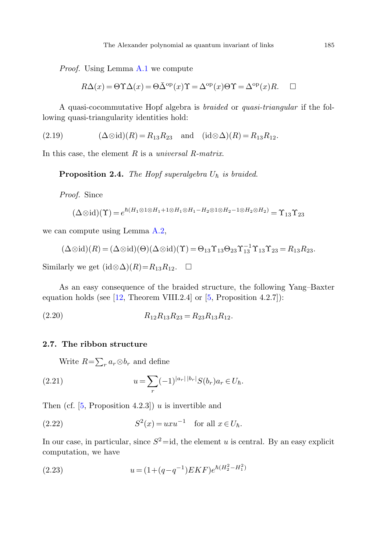Proof. Using Lemma [A.1](#page-22-0) we compute

$$
R\Delta(x) = \Theta \Upsilon \Delta(x) = \Theta \bar{\Delta}^{\text{op}}(x) \Upsilon = \Delta^{\text{op}}(x) \Theta \Upsilon = \Delta^{\text{op}}(x) R. \quad \Box
$$

A quasi-cocommutative Hopf algebra is braided or quasi-triangular if the following quasi-triangularity identities hold:

$$
(2.19) \qquad (\Delta \otimes id)(R) = R_{13}R_{23} \quad \text{and} \quad (id \otimes \Delta)(R) = R_{13}R_{12}.
$$

In this case, the element  $R$  is a universal  $R$ -matrix.

**Proposition 2.4.** The Hopf superalgebra  $U_{\hbar}$  is braided.

Proof. Since

$$
(\Delta \otimes id)(\Upsilon) = e^{\hbar (H_1 \otimes 1 \otimes H_1 + 1 \otimes H_1 \otimes H_1 - H_2 \otimes 1 \otimes H_2 - 1 \otimes H_2 \otimes H_2)} = \Upsilon_{13}\Upsilon_{23}
$$

we can compute using Lemma [A.2,](#page-23-0)

$$
(\Delta \otimes id)(R) = (\Delta \otimes id)(\Theta)(\Delta \otimes id)(\Upsilon) = \Theta_{13} \Upsilon_{13} \Theta_{23} \Upsilon_{13}^{-1} \Upsilon_{13} \Upsilon_{23} = R_{13} R_{23}.
$$

Similarly we get  $(id \otimes \Delta)(R) = R_{13}R_{12}$ .  $\Box$ 

As an easy consequence of the braided structure, the following Yang–Baxter equation holds (see  $[12,$  $[12,$  Theorem VIII.2.4] or  $[5,$  $[5,$  Proposition 4.2.7]):

$$
(2.20) \t\t R_{12}R_{13}R_{23} = R_{23}R_{13}R_{12}.
$$

# **2.7. The ribbon structure**

Write  $R = \sum_r a_r \otimes b_r$  and define

(2.21) 
$$
u = \sum_{r} (-1)^{|a_r| |b_r|} S(b_r) a_r \in U_{\hbar}.
$$

Then (cf.  $[5,$  $[5,$  Proposition 4.2.3]) u is invertible and

(2.22) 
$$
S^2(x) = uxu^{-1} \text{ for all } x \in U_{\hbar}.
$$

In our case, in particular, since  $S^2$  = id, the element u is central. By an easy explicit computation, we have

(2.23) 
$$
u = (1 + (q - q^{-1})EKF)e^{\hbar(H_2^2 - H_1^2)}
$$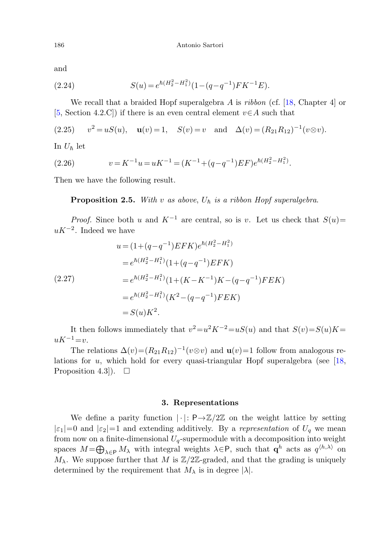and

(2.24) 
$$
S(u) = e^{\hbar (H_2^2 - H_1^2)} (1 - (q - q^{-1}) F K^{-1} E).
$$

We recall that a braided Hopf superalgebra  $A$  is *ribbon* (cf.  $[18,$  $[18,$  Chapter 4 $]$  or [\[5](#page-24-7), Section 4.2.C]) if there is an even central element  $v \in A$  such that

(2.25) 
$$
v^2 = uS(u)
$$
,  $\mathbf{u}(v) = 1$ ,  $S(v) = v$  and  $\Delta(v) = (R_{21}R_{12})^{-1}(v \otimes v)$ .

In  $U_{\hbar}$  let

(2.26) 
$$
v = K^{-1}u = uK^{-1} = (K^{-1} + (q - q^{-1})EF)e^{\hbar(H_{2}^{2} - H_{1}^{2})}.
$$

Then we have the following result.

**Proposition 2.5.** With v as above,  $U_h$  is a ribbon Hopf superalgebra.

*Proof.* Since both u and  $K^{-1}$  are central, so is v. Let us check that  $S(u)$ =  $uK^{-2}$ . Indeed we have

$$
u = (1 + (q - q^{-1})EFK)e^{\hbar(H_2^2 - H_1^2)}
$$
  
\n
$$
= e^{\hbar(H_2^2 - H_1^2)}(1 + (q - q^{-1})EFK)
$$
  
\n
$$
= e^{\hbar(H_2^2 - H_1^2)}(1 + (K - K^{-1})K - (q - q^{-1})FEK)
$$
  
\n
$$
= e^{\hbar(H_2^2 - H_1^2)}(K^2 - (q - q^{-1})FEK)
$$
  
\n
$$
= S(u)K^2.
$$

<span id="page-9-0"></span>It then follows immediately that  $v^2=u^2K^{-2}=uS(u)$  and that  $S(v)=S(u)K=$  $uK^{-1}=v.$ 

The relations  $\Delta(v)=(R_{21}R_{12})^{-1}(v\otimes v)$  and **u** $(v)=1$  follow from analogous relations for  $u$ , which hold for every quasi-triangular Hopf superalgebra (see [[18,](#page-25-3) Proposition 4.3]).  $\Box$ 

# **3. Representations**

We define a parity function  $|\cdot|: \mathsf{P}\to\mathbb{Z}/2\mathbb{Z}$  on the weight lattice by setting  $|\varepsilon_1|=0$  and  $|\varepsilon_2|=1$  and extending additively. By a representation of  $U_q$  we mean from now on a finite-dimensional  $U_q$ -supermodule with a decomposition into weight spaces  $M = \bigoplus_{\lambda \in P} M_{\lambda}$  with integral weights  $\lambda \in P$ , such that  $\mathbf{q}^h$  acts as  $q^{\langle h, \lambda \rangle}$  on  $M_{\lambda}$ . We suppose further that M is  $\mathbb{Z}/2\mathbb{Z}$ -graded, and that the grading is uniquely determined by the requirement that  $M_{\lambda}$  is in degree  $|\lambda|$ .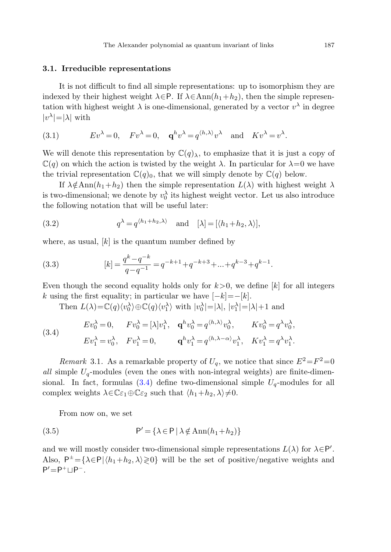#### **3.1. Irreducible representations**

It is not difficult to find all simple representations: up to isomorphism they are indexed by their highest weight  $\lambda \in P$ . If  $\lambda \in Ann(h_1+h_2)$ , then the simple representation with highest weight  $\lambda$  is one-dimensional, generated by a vector  $v^{\lambda}$  in degree  $|v^{\lambda}|=|\lambda|$  with

(3.1) 
$$
Ev^{\lambda} = 0
$$
,  $Fv^{\lambda} = 0$ ,  $\mathbf{q}^{h}v^{\lambda} = q^{\langle h, \lambda \rangle}v^{\lambda}$  and  $Kv^{\lambda} = v^{\lambda}$ .

We will denote this representation by  $\mathbb{C}(q)$ , to emphasize that it is just a copy of  $\mathbb{C}(q)$  on which the action is twisted by the weight  $\lambda$ . In particular for  $\lambda=0$  we have the trivial representation  $\mathbb{C}(q)_0$ , that we will simply denote by  $\mathbb{C}(q)$  below.

If  $\lambda \notin \text{Ann}(h_1+h_2)$  then the simple representation  $L(\lambda)$  with highest weight  $\lambda$ is two-dimensional; we denote by  $v_0^{\lambda}$  its highest weight vector. Let us also introduce the following notation that will be useful later:

(3.2) 
$$
q^{\lambda} = q^{\langle h_1 + h_2, \lambda \rangle} \quad \text{and} \quad [\lambda] = [\langle h_1 + h_2, \lambda \rangle],
$$

where, as usual,  $[k]$  is the quantum number defined by

<span id="page-10-0"></span>(3.3) 
$$
[k] = \frac{q^k - q^{-k}}{q - q^{-1}} = q^{-k+1} + q^{-k+3} + \dots + q^{k-3} + q^{k-1}.
$$

Even though the second equality holds only for  $k>0$ , we define [k] for all integers k using the first equality; in particular we have  $[-k] = -[k]$ .

Then  $L(\lambda) = \mathbb{C}(q) \langle v_0^{\lambda} \rangle \oplus \mathbb{C}(q) \langle v_1^{\lambda} \rangle$  with  $|v_0^{\lambda}| = |\lambda|, |v_1^{\lambda}| = |\lambda| + 1$  and

(3.4)

$$
Ev_0^{\lambda} = 0, \t Fv_0^{\lambda} = [\lambda]v_1^{\lambda}, \t \mathbf{q}^h v_0^{\lambda} = q^{\langle h, \lambda \rangle} v_0^{\lambda}, \t Kv_0^{\lambda} = q^{\lambda}v_0^{\lambda},
$$
  

$$
Ev_1^{\lambda} = v_0^{\lambda}, \t Fv_1^{\lambda} = 0, \t \mathbf{q}^h v_1^{\lambda} = q^{\langle h, \lambda - \alpha \rangle} v_1^{\lambda}, \t Kv_1^{\lambda} = q^{\lambda}v_1^{\lambda}.
$$

Remark 3.1. As a remarkable property of  $U_q$ , we notice that since  $E^2 = F^2 = 0$ all simple  $U_q$ -modules (even the ones with non-integral weights) are finite-dimensional. In fact, formulas  $(3.4)$  $(3.4)$  define two-dimensional simple  $U_q$ -modules for all complex weights  $\lambda \in \mathbb{C} \varepsilon_1 \oplus \mathbb{C} \varepsilon_2$  such that  $\langle h_1 + h_2, \lambda \rangle \neq 0$ .

From now on, we set

(3.5) 
$$
P' = \{ \lambda \in P \mid \lambda \notin \text{Ann}(h_1 + h_2) \}
$$

and we will mostly consider two-dimensional simple representations  $L(\lambda)$  for  $\lambda \in \mathsf{P}'$ . Also,  $P^{\pm} = {\lambda \in P | h_1 + h_2, \lambda \geq 0}$  will be the set of positive/negative weights and  $P' = P^+ \sqcup P^-$ .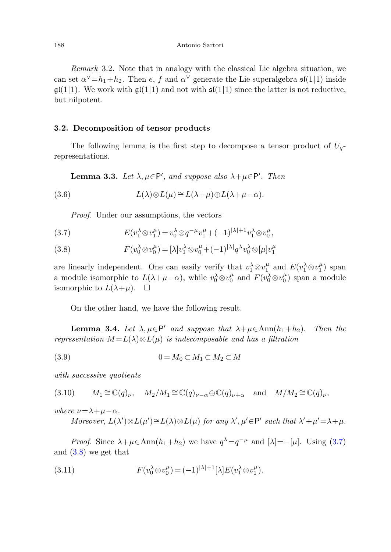Remark 3.2. Note that in analogy with the classical Lie algebra situation, we can set  $\alpha^{\vee} = h_1 + h_2$ . Then e, f and  $\alpha^{\vee}$  generate the Lie superalgebra  $\mathfrak{sl}(1|1)$  inside  $\mathfrak{gl}(1|1)$ . We work with  $\mathfrak{gl}(1|1)$  and not with  $\mathfrak{sl}(1|1)$  since the latter is not reductive, but nilpotent.

# <span id="page-11-4"></span>**3.2. Decomposition of tensor products**

<span id="page-11-0"></span>The following lemma is the first step to decompose a tensor product of  $U_q$ representations.

**Lemma 3.3.** Let  $\lambda, \mu \in \mathsf{P}'$ , and suppose also  $\lambda + \mu \in \mathsf{P}'$ . Then

<span id="page-11-1"></span>(3.6)  $L(\lambda) \otimes L(\mu) \cong L(\lambda + \mu) \oplus L(\lambda + \mu - \alpha).$ 

Proof. Under our assumptions, the vectors

(3.7) 
$$
E(v_1^{\lambda} \otimes v_1^{\mu}) = v_0^{\lambda} \otimes q^{-\mu} v_1^{\mu} + (-1)^{|\lambda|+1} v_1^{\lambda} \otimes v_0^{\mu},
$$

<span id="page-11-2"></span>(3.8) 
$$
F(v_0^{\lambda} \otimes v_0^{\mu}) = [\lambda]v_1^{\lambda} \otimes v_0^{\mu} + (-1)^{|\lambda|}q^{\lambda}v_0^{\lambda} \otimes [\mu]v_1^{\mu}
$$

<span id="page-11-3"></span>are linearly independent. One can easily verify that  $v_1^{\lambda} \otimes v_1^{\mu}$  and  $E(v_1^{\lambda} \otimes v_1^{\mu})$  span a module isomorphic to  $L(\lambda+\mu-\alpha)$ , while  $v_0^{\lambda} \otimes v_0^{\mu}$  and  $F(v_0^{\lambda} \otimes v_0^{\mu})$  span a module isomorphic to  $L(\lambda+\mu)$ .  $\Box$ 

On the other hand, we have the following result.

**Lemma 3.4.** Let  $\lambda, \mu \in \mathsf{P}'$  and suppose that  $\lambda + \mu \in \text{Ann}(h_1 + h_2)$ . Then the representation  $M = L(\lambda) \otimes L(\mu)$  is indecomposable and has a filtration

$$
(3.9) \t\t 0 = M_0 \subset M_1 \subset M_2 \subset M
$$

with successive quotients

(3.10) 
$$
M_1 \cong \mathbb{C}(q)_{\nu}, \quad M_2/M_1 \cong \mathbb{C}(q)_{\nu-\alpha} \oplus \mathbb{C}(q)_{\nu+\alpha} \quad \text{and} \quad M/M_2 \cong \mathbb{C}(q)_{\nu},
$$

where  $\nu = \lambda + \mu - \alpha$ .

Moreover, 
$$
L(\lambda') \otimes L(\mu') \cong L(\lambda) \otimes L(\mu)
$$
 for any  $\lambda', \mu' \in P'$  such that  $\lambda' + \mu' = \lambda + \mu$ .

*Proof.* Since  $\lambda + \mu \in \text{Ann}(h_1 + h_2)$  we have  $q^{\lambda} = q^{-\mu}$  and  $[\lambda] = -[\mu]$ . Using [\(3.7\)](#page-11-0) and ([3.8\)](#page-11-1) we get that

(3.11) 
$$
F(v_0^{\lambda} \otimes v_0^{\mu}) = (-1)^{|\lambda|+1} [\lambda] E(v_1^{\lambda} \otimes v_1^{\mu}).
$$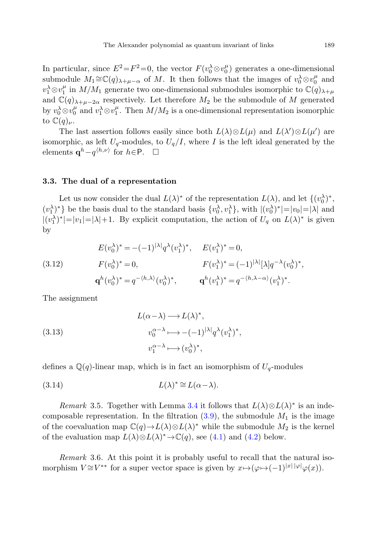In particular, since  $E^2 = F^2 = 0$ , the vector  $F(v_0 \otimes v_0^{\mu})$  generates a one-dimensional submodule  $M_1 \cong \mathbb{C}(q)_{\lambda+\mu-\alpha}$  of M. It then follows that the images of  $v_0^{\lambda} \otimes v_0^{\mu}$  and  $v_1^{\lambda} \otimes v_1^{\mu}$  in  $M/M_1$  generate two one-dimensional submodules isomorphic to  $\mathbb{C}(q)_{\lambda+\mu}$ and  $\mathbb{C}(q)_{\lambda+\mu-2\alpha}$  respectively. Let therefore  $M_2$  be the submodule of M generated by  $v_0^{\lambda} \otimes v_0^{\mu}$  and  $v_1^{\lambda} \otimes v_1^{\mu}$ . Then  $M/M_2$  is a one-dimensional representation isomorphic to  $\mathbb{C}(q)_{\nu}$ .

The last assertion follows easily since both  $L(\lambda) \otimes L(\mu)$  and  $L(\lambda') \otimes L(\mu')$  are isomorphic, as left  $U_q$ -modules, to  $U_q/I$ , where I is the left ideal generated by the elements  $\mathbf{q}^h-q^{\langle h,\nu\rangle}$  for  $h \in \mathsf{P}$ .  $\Box$ 

# **3.3. The dual of a representation**

Let us now consider the dual  $L(\lambda)^*$  of the representation  $L(\lambda)$ , and let  $\{(v_0^{\lambda})^*,$  $(v_1^{\lambda})^*$ } be the basis dual to the standard basis  $\{v_0^{\lambda}, v_1^{\lambda}\}\$ , with  $|(v_0^{\lambda})^*|=|v_0|=|\lambda|$  and  $|(v_1^{\lambda})^*|=|v_1|=|\lambda|+1$ . By explicit computation, the action of  $U_q$  on  $L(\lambda)^*$  is given by

(3.12) 
$$
E(v_0^{\lambda})^* = -(-1)^{|\lambda|} q^{\lambda} (v_1^{\lambda})^*, \quad E(v_1^{\lambda})^* = 0,
$$

$$
F(v_0^{\lambda})^* = 0, \qquad F(v_1^{\lambda})^* = (-1)^{|\lambda|} [\lambda] q^{-\lambda} (v_0^{\lambda})^*,
$$

$$
\mathbf{q}^h (v_0^{\lambda})^* = q^{-\langle h, \lambda \rangle} (v_0^{\lambda})^*, \qquad \mathbf{q}^h (v_1^{\lambda})^* = q^{-\langle h, \lambda - \alpha \rangle} (v_1^{\lambda})^*.
$$

The assignment

<span id="page-12-0"></span>(3.13)  
\n
$$
L(\alpha - \lambda) \longrightarrow L(\lambda)^*,
$$
\n
$$
v_0^{\alpha - \lambda} \longmapsto -(-1)^{|\lambda|} q^{\lambda} (v_1^{\lambda})^*,
$$
\n
$$
v_1^{\alpha - \lambda} \longmapsto (v_0^{\lambda})^*,
$$

defines a  $\mathbb{Q}(q)$ -linear map, which is in fact an isomorphism of  $U_q$ -modules

(3.14) 
$$
L(\lambda)^* \cong L(\alpha - \lambda).
$$

Remark 3.5. Together with Lemma [3.4](#page-11-2) it follows that  $L(\lambda) \otimes L(\lambda)$ <sup>\*</sup> is an indecomposable representation. In the filtration  $(3.9)$ , the submodule  $M_1$  is the image of the coevaluation map  $\mathbb{C}(q) \to L(\lambda) \otimes L(\lambda)$ <sup>\*</sup> while the submodule  $M_2$  is the kernel of the evaluation map  $L(\lambda) \otimes L(\lambda)$ <sup>\*</sup> →  $\mathbb{C}(q)$ , see [\(4.1\)](#page-14-1) and [\(4.2](#page-14-2)) below.

Remark 3.6. At this point it is probably useful to recall that the natural isomorphism  $V \cong V^{**}$  for a super vector space is given by  $x \mapsto (\varphi \mapsto (-1)^{|x|} |\varphi(x)|)$ .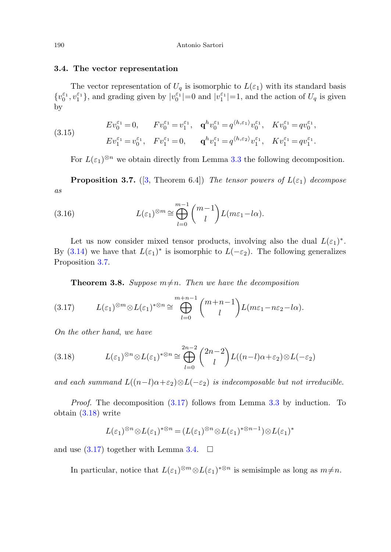#### **3.4. The vector representation**

The vector representation of  $U_q$  is isomorphic to  $L(\varepsilon_1)$  with its standard basis  $\{v_0^{\varepsilon_1}, v_1^{\varepsilon_1}\}$ , and grading given by  $|v_0^{\varepsilon_1}|=0$  and  $|v_1^{\varepsilon_1}|=1$ , and the action of  $U_q$  is given by

(3.15) 
$$
Ev_0^{\varepsilon_1} = 0, \qquad Fv_0^{\varepsilon_1} = v_1^{\varepsilon_1}, \quad \mathbf{q}^h v_0^{\varepsilon_1} = q^{\langle h, \varepsilon_1 \rangle} v_0^{\varepsilon_1}, \quad Kv_0^{\varepsilon_1} = qv_0^{\varepsilon_1}, Ev_1^{\varepsilon_1} = v_0^{\varepsilon_1}, \quad Fv_1^{\varepsilon_1} = 0, \qquad \mathbf{q}^h v_1^{\varepsilon_1} = q^{\langle h, \varepsilon_2 \rangle} v_1^{\varepsilon_1}, \quad Kv_1^{\varepsilon_1} = qv_1^{\varepsilon_1}.
$$

<span id="page-13-0"></span>For  $L(\varepsilon_1)^{\otimes n}$  we obtain directly from Lemma [3.3](#page-11-4) the following decomposition.

**Proposition 3.7.** ([\[3](#page-24-12), Theorem 6.4]) The tensor powers of  $L(\varepsilon_1)$  decompose as

(3.16) 
$$
L(\varepsilon_1)^{\otimes m} \cong \bigoplus_{l=0}^{m-1} {m-1 \choose l} L(m\varepsilon_1 - l\alpha).
$$

<span id="page-13-1"></span>Let us now consider mixed tensor products, involving also the dual  $L(\varepsilon_1)^*$ . By ([3.14](#page-12-0)) we have that  $L(\varepsilon_1)^*$  is isomorphic to  $L(-\varepsilon_2)$ . The following generalizes Proposition [3.7.](#page-13-0)

**Theorem 3.8.** Suppose  $m \neq n$ . Then we have the decomposition

<span id="page-13-2"></span>
$$
(3.17) \tL(\varepsilon_1)^{\otimes m} \otimes L(\varepsilon_1)^{* \otimes n} \cong \bigoplus_{l=0}^{m+n-1} {m+n-1 \choose l} L(m\varepsilon_1 - n\varepsilon_2 - l\alpha).
$$

On the other hand, we have

(3.18) 
$$
L(\varepsilon_1)^{\otimes n} \otimes L(\varepsilon_1)^* \otimes n \cong \bigoplus_{l=0}^{2n-2} {2n-2 \choose l} L((n-l)\alpha + \varepsilon_2) \otimes L(-\varepsilon_2)
$$

and each summand  $L((n-l)\alpha+\varepsilon_2)\otimes L(-\varepsilon_2)$  is indecomposable but not irreducible.

Proof. The decomposition [\(3.17](#page-13-1)) follows from Lemma [3.3](#page-11-4) by induction. To obtain [\(3.18](#page-13-2)) write

$$
L(\varepsilon_1)^{\otimes n} \otimes L(\varepsilon_1)^{*\otimes n} = (L(\varepsilon_1)^{\otimes n} \otimes L(\varepsilon_1)^{*\otimes n-1}) \otimes L(\varepsilon_1)^{*}
$$

and use  $(3.17)$  together with Lemma [3.4](#page-11-2).  $\Box$ 

In particular, notice that  $L(\varepsilon_1)^{\otimes m} \otimes L(\varepsilon_1)^{*\otimes n}$  is semisimple as long as  $m \neq n$ .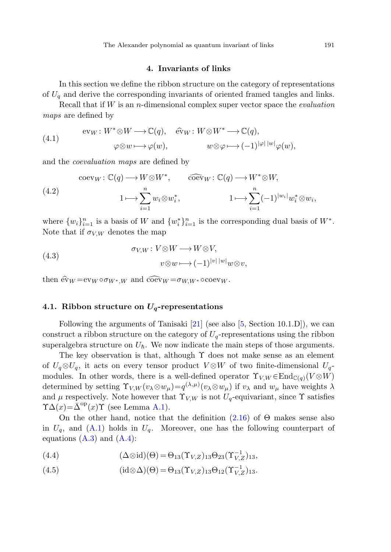## **4. Invariants of links**

<span id="page-14-1"></span><span id="page-14-0"></span>In this section we define the ribbon structure on the category of representations of  $U<sub>a</sub>$  and derive the corresponding invariants of oriented framed tangles and links.

Recall that if  $W$  is an *n*-dimensional complex super vector space the *evaluation* maps are defined by

<span id="page-14-2"></span>(4.1) 
$$
\text{ev}_W: W^* \otimes W \longrightarrow \mathbb{C}(q), \quad \widehat{\text{ev}}_W: W \otimes W^* \longrightarrow \mathbb{C}(q), \varphi \otimes w \longmapsto \varphi(w), \qquad w \otimes \varphi \longmapsto (-1)^{|\varphi| \, |w|} \varphi(w),
$$

and the coevaluation maps are defined by

(4.2) 
$$
\operatorname{coev}_{W} : \mathbb{C}(q) \longrightarrow W \otimes W^{*}, \qquad \operatorname{coev}_{W} : \mathbb{C}(q) \longrightarrow W^{*} \otimes W,
$$

$$
1 \longmapsto \sum_{i=1}^{n} w_{i} \otimes w_{i}^{*}, \qquad 1 \longmapsto \sum_{i=1}^{n} (-1)^{|w_{i}|} w_{i}^{*} \otimes w_{i},
$$

where  $\{w_i\}_{i=1}^n$  is a basis of W and  $\{w_i^*\}_{i=1}^n$  is the corresponding dual basis of  $W^*$ . Note that if  $\sigma_{V,W}$  denotes the map

(4.3) 
$$
\sigma_{V,W}: V \otimes W \longrightarrow W \otimes V,
$$

$$
v \otimes w \longmapsto (-1)^{|v| |w|} w \otimes v,
$$

then  $\hat{ev}_W = ev_W \circ \sigma_{W^*,W}$  and  $\widehat{coev}_W = \sigma_{W,W^*} \circ \operatorname{coev}_W$ .

## **4.1. Ribbon structure on** *Uq***-representations**

Following the arguments of Tanisaki [\[21](#page-25-4)] (see also [\[5](#page-24-7), Section 10.1.D]), we can construct a ribbon structure on the category of  $U_q$ -representations using the ribbon superalgebra structure on  $U_{\hbar}$ . We now indicate the main steps of those arguments.

The key observation is that, although  $\Upsilon$  does not make sense as an element of  $U_q \otimes U_q$ , it acts on every tensor product  $V \otimes W$  of two finite-dimensional  $U_q$ modules. In other words, there is a well-defined operator  $\Upsilon_{V,W} \in \text{End}_{\mathbb{C}(q)}(V \otimes W)$ determined by setting  $\Upsilon_{V,W}(v_\lambda \otimes w_\mu) = q^{(\lambda,\mu)}(v_\lambda \otimes w_\mu)$  if  $v_\lambda$  and  $w_\mu$  have weights  $\lambda$ and  $\mu$  respectively. Note however that  $\Upsilon_{V,W}$  is not  $U_q$ -equivariant, since  $\Upsilon$  satisfies  $\Upsilon \Delta(x) = \bar{\Delta}^{\rm op}(x) \Upsilon$  (see Lemma [A.1](#page-22-0)).

On the other hand, notice that the definition  $(2.16)$  $(2.16)$  $(2.16)$  of  $\Theta$  makes sense also in  $U_q$ , and  $(A.1)$  $(A.1)$  holds in  $U_q$ . Moreover, one has the following counterpart of equations  $(A.3)$  $(A.3)$  $(A.3)$  and  $(A.4)$  $(A.4)$ :

(4.4) 
$$
(\Delta \otimes id)(\Theta) = \Theta_{13}(\Upsilon_{V,Z})_{13}\Theta_{23}(\Upsilon_{V,Z}^{-1})_{13},
$$

(4.5) 
$$
(\mathrm{id} \otimes \Delta)(\Theta) = \Theta_{13}(\Upsilon_{V,Z})_{13}\Theta_{12}(\Upsilon_{V,Z})_{13}.
$$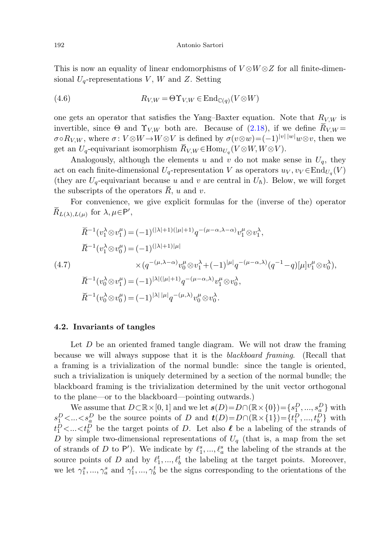This is now an equality of linear endomorphisms of  $V \otimes W \otimes Z$  for all finite-dimensional  $U_q$ -representations V, W and Z. Setting

(4.6) 
$$
R_{V,W} = \Theta \Upsilon_{V,W} \in \mathrm{End}_{\mathbb{C}(q)}(V \otimes W)
$$

one gets an operator that satisfies the Yang–Baxter equation. Note that  $R_{V,W}$  is invertible, since Θ and Υ<sub>V</sub>, *W* both are. Because of  $V \otimes W \otimes Z$  for all finite-dimensional  $U_q$ -representations  $V$ , *W* and *Z*. Setting<br>
(4.6)  $R_{V,W} = \Theta \Upsilon_{V,W} \in \text{End}_{\mathbb{C}(q)}(V \otimes W)$ <br>
one gets an operator that sati  $\sigma \circ R_{V,W}$ , where  $\sigma: V \otimes W \to W \otimes V$  is defined by  $\sigma(v \otimes w) = (-1)^{|v| |w|} w \otimes v$ , then we Antonio Sartori<br>
This is now an equality of linear endomorphisms of  $V \otimes W \otimes Z$  for<br>
sional  $U_q$ -representations V, W and Z. Setting<br>
(4.6)  $R_{V,W} = \Theta \Upsilon_{V,W} \in \text{End}_{\mathbb{C}(q)}(V \otimes W)$ <br>
one gets an operator that satisfies the This is now an equality of linear endomorp<br>sional  $U_q$ -representations V, W and Z. Set<br>(4.6)  $R_{V,W} = \Theta \Upsilon_{V,W} \in \mathbb{I}$ <br>one gets an operator that satisfies the Yar<br>invertible, since  $\Theta$  and  $\Upsilon_{V,W}$  both are. I<br> $\sigma \circ R_{V,W$ This is now an equal<br>sional  $U_q$ -representati<br>(4.6)<br>one gets an operator<br>invertible, since  $\Theta$  an<br> $\sigma \circ R_{V,W}$ , where  $\sigma: V$ <br>get an  $U_q$ -equivariant<br>Analogously, altl<br>act on each finite-dim<br>(they are  $U_q$ -equivaria<br>the su Fraction and pole, since  $U_q$ -equivalogous<br>Represent finition of the pole of  $U_q$ -equivalogous<br>scripts convert convert  $\mu$  for  $\lambda$ <br> $\widetilde{R}^{-1}(v_1^{\lambda_1})$ Frace an open<br>
Ref. since<br>
R, where<br>
R, where all alogous<br>
Reflection is conver<br>
R-1( $v_1^{\lambda}$ <br>
R<sup>-1</sup>( $v_1^{\lambda}$ <br>
R<sup>-1</sup>( $v_1^{\lambda}$ 

Analogously, although the elements u and v do not make sense in  $U_q$ , they act on each finite-dimensional  $U_q$ -representation V as operators  $u_V, v_V \in End_{U_q}(V)$ (they are  $U_q$ -equivariant because u and v are central in  $U_\hbar$ ). Below, we will forget

<span id="page-15-0"></span>For convenience, we give explicit formulas for the (inverse of the) operator  $\widetilde{R}_{L(\lambda),L(\mu)}$  for  $\lambda, \mu \in \mathsf{P}',$ 

σοκιγ, ω. where σ: V ⊗W → W ⊗V is defined by σ(v ⊗w) = (−1)<sup>1+1+1</sup>·W ⊗v, then  
get an U<sub>q</sub>-equivariant isomorphism 
$$
\tilde{R}_{V,W} \in \text{Hom}_{U_q}(V ⊗ W, W ⊗ V)
$$
.  
Analogously, although the elements u and v do not make sense in U<sub>q</sub>, the  
act on each finite-dimensional U<sub>q</sub>-representation V as operators  $u_V, v_V \in \text{End}_{U_q}($   
(they are U<sub>q</sub>-equivariant because u and v are central in U<sub>h</sub>). Below, we will for  
the subscripts of the operators  $\tilde{R}$ , u and v.  
For convenience, we give explicit formulas for the (inverse of the) opera  

$$
\tilde{R}_{L(\lambda),L(\mu)}
$$
 for  $\lambda, \mu \in \text{P}',$ 
$$
\tilde{R}^{-1}(v_1^{\lambda} ⊗ v_1^{\mu}) = (-1)^{(|\lambda|+1)(|\mu|+1)} q^{-(\mu-\alpha,\lambda-\alpha)} v_1^{\mu} ⊗ v_1^{\lambda},
$$

$$
\tilde{R}^{-1}(v_1^{\lambda} ⊗ v_0^{\mu}) = (-1)^{(|\lambda|+1)|\mu|}
$$

$$
\times (q^{-(\mu,\lambda-\alpha)} v_0^{\mu} ⊗ v_1^{\lambda} + (-1)^{|\mu|} q^{-(\mu-\alpha,\lambda)} (q^{-1}-q)[\mu] v_1^{\mu} ⊗ v_0^{\lambda}),
$$

$$
\tilde{R}^{-1}(v_0^{\lambda} ⊗ v_1^{\mu}) = (-1)^{|\lambda|(|\mu|+1)} q^{-(\mu-\alpha,\lambda)} v_1^{\mu} ⊗ v_0^{\lambda},
$$

$$
\tilde{R}^{-1}(v_0^{\lambda} ⊗ v_0^{\mu}) = (-1)^{|\lambda| |\mu|} q^{-(\mu,\lambda)} v_0^{\mu} ⊗ v_0^{\lambda}.
$$

#### **4.2. Invariants of tangles**

Let  $D$  be an oriented framed tangle diagram. We will not draw the framing because we will always suppose that it is the blackboard framing. (Recall that a framing is a trivialization of the normal bundle: since the tangle is oriented, such a trivialization is uniquely determined by a section of the normal bundle; the blackboard framing is the trivialization determined by the unit vector orthogonal to the plane—or to the blackboard—pointing outwards.)

We assume that  $D \subset \mathbb{R} \times [0, 1]$  and we let  $s(D) = D \cap (\mathbb{R} \times \{0\}) = \{s_1^D, ..., s_a^D\}$  with  $s_1^D$ <... <  $s_a^D$  be the source points of D and  $t(D) = D \cap (\mathbb{R} \times \{1\}) = \{t_1^D, ..., t_b^D\}$  with  $t_1^D$ <...< $t_b^D$  be the target points of D. Let also  $\ell$  be a labeling of the strands of D by simple two-dimensional representations of  $U_q$  (that is, a map from the set of strands of D to P'). We indicate by  $\ell_1^s, ..., \ell_a^s$  the labeling of the strands at the source points of D and by  $\ell_1^t, ..., \ell_b^t$  the labeling at the target points. Moreover, we let  $\gamma_1^s, ..., \gamma_a^s$  and  $\gamma_1^t, ..., \gamma_b^t$  be the signs corresponding to the orientations of the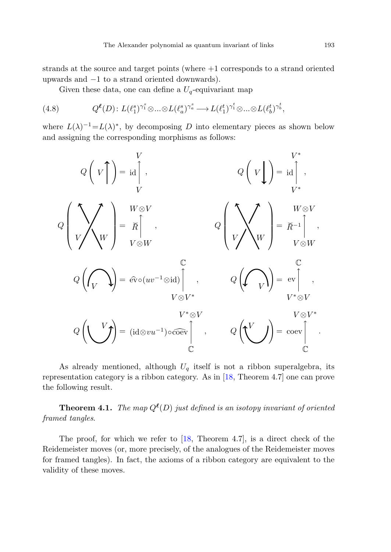strands at the source and target points (where +1 corresponds to a strand oriented upwards and −1 to a strand oriented downwards).

Given these data, one can define a  $U_q$ -equivariant map

(4.8) 
$$
Q^{\ell}(D): L(\ell_1^s)^{\gamma_1^s} \otimes ... \otimes L(\ell_a^s)^{\gamma_a^s} \longrightarrow L(\ell_1^t)^{\gamma_1^t} \otimes ... \otimes L(\ell_b^t)^{\gamma_b^t},
$$

where  $L(\lambda)^{-1} = L(\lambda)^*$ , by decomposing D into elementary pieces as shown below and assigning the corresponding morphisms as follows:

Given these data, one can define a 
$$
U_q
$$
-equivariant map  
\n
$$
Q^{\ell}(D): L(\ell_1^s)^{\gamma_1^s} \otimes ... \otimes L(\ell_a^s)^{\gamma_a^s} \to L(\ell_1^t)^{\gamma_1^t} \otimes ... \otimes L(\ell_b^t)^{\gamma_b^t},
$$
\n
$$
r \in L(\lambda)^{-1} = L(\lambda)^*, \text{ by decomposing } D \text{ into elementary pieces as shown be assigning the corresponding morphisms as follows:}
$$
\n
$$
Q\left(V\right) = id \uparrow, \qquad Q\left(V\right) = id \uparrow, \qquad Q\left(V\right) = id \uparrow, \qquad V^*
$$
\n
$$
Q\left(V\right) = \overline{R} \uparrow, \qquad Q\left(V\right) = \overline{R} \uparrow, \qquad Q\left(V\right) = \overline{R} \uparrow, \qquad V \otimes V
$$
\n
$$
Q\left(\bigcap_{V} \bigvee_{V} \right) = \widehat{ev} \circ (uv^{-1} \otimes id) \uparrow, \qquad Q\left(\bigvee_{V} \bigvee_{V \otimes V^*} \right) = \begin{bmatrix} \mathbb{C} \\ \mathbb{C} \\ V \end{bmatrix}.
$$
\n
$$
Q\left(\bigvee_{V} \bigvee_{V} \right) = (id \otimes vu^{-1}) \circ \overline{c} \circ \overline{c} \uparrow, \qquad Q\left(\bigvee_{V} \bigvee_{V} \right) = \begin{bmatrix} \mathbb{C} \\ \mathbb{C} \\ \mathbb{C} \end{bmatrix}.
$$

As already mentioned, although  $U_q$  itself is not a ribbon superalgebra, its representation category is a ribbon category. As in [\[18](#page-25-3), Theorem 4.7] one can prove the following result.

**Theorem 4.1.** The map  $Q^{\ell}(D)$  just defined is an isotopy invariant of oriented framed tangles.

The proof, for which we refer to  $[18,$  $[18,$  Theorem 4.7], is a direct check of the Reidemeister moves (or, more precisely, of the analogues of the Reidemeister moves for framed tangles). In fact, the axioms of a ribbon category are equivalent to the validity of these moves.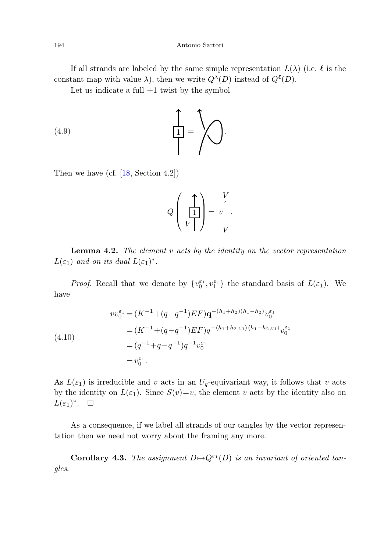If all strands are labeled by the same simple representation  $L(\lambda)$  (i.e.  $\ell$  is the constant map with value  $\lambda$ ), then we write  $Q^{\lambda}(D)$  instead of  $Q^{\ell}(D)$ .

Let us indicate a full  $+1$  twist by the symbol

$$
\begin{pmatrix} 4.9 \end{pmatrix} \qquad (4.9)
$$

Then we have (cf. [\[18](#page-25-3), Section 4.2])

$$
Q\left(\begin{array}{c}\uparrow\\ \hline \rule{0pt}{12pt}\\ V\end{array}\right)=\begin{array}{c}V\\ v\end{array}\right).
$$

**Lemma 4***.***2.** The element v acts by the identity on the vector representation  $L(\varepsilon_1)$  and on its dual  $L(\varepsilon_1)^*$ .

*Proof.* Recall that we denote by  $\{v_0^{\varepsilon_1}, v_1^{\varepsilon_1}\}\)$  the standard basis of  $L(\varepsilon_1)$ . We have

(4.10)  
\n
$$
vv_0^{\varepsilon_1} = (K^{-1} + (q - q^{-1})EF)q^{-(h_1 + h_2)(h_1 - h_2)}v_0^{\varepsilon_1}
$$
\n
$$
= (K^{-1} + (q - q^{-1})EF)q^{-\langle h_1 + h_2, \varepsilon_1 \rangle \langle h_1 - h_2, \varepsilon_1 \rangle}v_0^{\varepsilon_1}
$$
\n
$$
= (q^{-1} + q - q^{-1})q^{-1}v_0^{\varepsilon_1}
$$
\n
$$
= v_0^{\varepsilon_1}.
$$

<span id="page-17-0"></span>As  $L(\varepsilon_1)$  is irreducible and v acts in an  $U_q$ -equivariant way, it follows that v acts by the identity on  $L(\varepsilon_1)$ . Since  $S(v)=v$ , the element v acts by the identity also on  $L(\varepsilon_1)^*$ .  $\Box$ 

As a consequence, if we label all strands of our tangles by the vector representation then we need not worry about the framing any more.

**Corollary 4.3.** The assignment  $D \mapsto Q^{\varepsilon_1}(D)$  is an invariant of oriented tangles.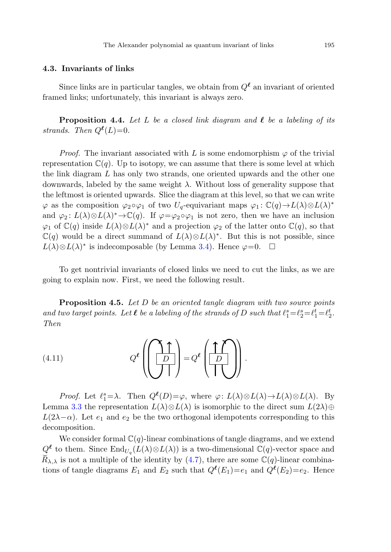# <span id="page-18-0"></span>**4.3. Invariants of links**

Since links are in particular tangles, we obtain from  $Q^{\ell}$  an invariant of oriented framed links; unfortunately, this invariant is always zero.

**Proposition 4.4.** Let L be a closed link diagram and  $\ell$  be a labeling of its strands. Then  $Q^{\ell}(L)=0$ .

*Proof.* The invariant associated with L is some endomorphism  $\varphi$  of the trivial representation  $\mathbb{C}(q)$ . Up to isotopy, we can assume that there is some level at which the link diagram L has only two strands, one oriented upwards and the other one downwards, labeled by the same weight  $\lambda$ . Without loss of generality suppose that the leftmost is oriented upwards. Slice the diagram at this level, so that we can write  $\varphi$  as the composition  $\varphi_2 \circ \varphi_1$  of two  $U_q$ -equivariant maps  $\varphi_1 : \mathbb{C}(q) \to L(\lambda) \otimes L(\lambda)^*$ and  $\varphi_2: L(\lambda) \otimes L(\lambda)^* \to \mathbb{C}(q)$ . If  $\varphi = \varphi_2 \circ \varphi_1$  is not zero, then we have an inclusion  $\varphi_1$  of  $\mathbb{C}(q)$  inside  $L(\lambda)\otimes L(\lambda)^*$  and a projection  $\varphi_2$  of the latter onto  $\mathbb{C}(q)$ , so that  $\mathbb{C}(q)$  would be a direct summand of  $L(\lambda)\otimes L(\lambda)^*$ . But this is not possible, since  $L(\lambda) \otimes L(\lambda)^*$  is indecomposable (by Lemma [3.4\)](#page-11-2). Hence  $\varphi = 0$ .  $\Box$ 

<span id="page-18-1"></span>To get nontrivial invariants of closed links we need to cut the links, as we are going to explain now. First, we need the following result.

**Proposition 4***.***5.** Let D be an oriented tangle diagram with two source points and two target points. Let  $\ell$  be a labeling of the strands of D such that  $\ell_1^s = \ell_2^s = \ell_1^t = \ell_2^t$ . Then

(4.11) 
$$
Q^{\ell}\left(\left(\begin{array}{c}\uparrow \uparrow \\ \hline D \end{array}\right) = Q^{\ell}\left(\left(\begin{array}{c}\uparrow \uparrow \\ D \end{array}\right)\right).
$$

*Proof.* Let  $\ell_1^s = \lambda$ . Then  $Q^{\ell}(D) = \varphi$ , where  $\varphi: L(\lambda) \otimes L(\lambda) \to L(\lambda) \otimes L(\lambda)$ . By Lemma [3.3](#page-11-4) the representation  $L(\lambda) \otimes L(\lambda)$  is isomorphic to the direct sum  $L(2\lambda) \oplus$  $L(2\lambda-\alpha)$ . Let  $e_1$  and  $e_2$  be the two orthogonal idempotents corresponding to this decomposition. Then<br>
(4.11)  $Q^{\ell} \left( \begin{bmatrix} 1 \\ D \end{bmatrix} \right) = Q^{\ell} \left( \begin{bmatrix} 1 \\ D \end{bmatrix} \right)$ .<br>
Proof. Let  $\ell_1^s = \lambda$ . Then  $Q^{\ell}(D) = \varphi$ , where  $\varphi: L(\lambda) \otimes L(\lambda) \rightarrow L(\lambda) \otimes L(\lambda)$ . By<br>
Lemma 3.3 the representation  $L(\lambda) \otimes L(\lambda)$  is isomorphic to th

We consider formal  $\mathbb{C}(q)$ -linear combinations of tangle diagrams, and we extend  $Q^{\ell}$  to them. Since  $\text{End}_{U_q}(L(\lambda) \otimes L(\lambda))$  is a two-dimensional  $\mathbb{C}(q)$ -vector space and tions of tangle diagrams  $E_1$  and  $E_2$  such that  $Q^{\ell}(E_1) = e_1$  and  $Q^{\ell}(E_2) = e_2$ . Hence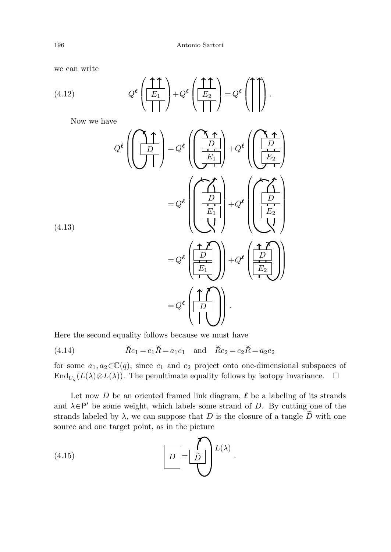we can write

(4.12) 
$$
Q^{\ell}\left(\frac{\uparrow \uparrow}{E_1}\right) + Q^{\ell}\left(\frac{\uparrow \uparrow}{E_2}\right) = Q^{\ell}\left(\uparrow \uparrow\right).
$$

Now we have

(4.13)  
\n
$$
Q^{e}\left(\left(\frac{\Lambda}{D}\right)\right) = Q^{e}\left(\left(\frac{\Lambda}{E_{1}}\right)\right) + Q^{e}\left(\left(\frac{\Lambda}{E_{2}}\right)\right)
$$
\n
$$
= Q^{e}\left(\left(\frac{\Lambda}{E_{1}}\right)\right) + Q^{e}\left(\left(\frac{\Lambda}{E_{2}}\right)\right)
$$
\n(4.13)  
\n
$$
= Q^{e}\left(\frac{\Lambda}{E_{1}}\right) + Q^{e}\left(\frac{\Lambda}{E_{2}}\right)
$$
\nHere the second equality follows because we must have  
\n(4.14)  
\n
$$
\widetilde{Re}_{1} = e_{1}\widetilde{R} = a_{1}e_{1} \text{ and } \widetilde{Re}_{2} = e_{2}\widetilde{R} = a_{2}e_{2}
$$

Here the second equality follows because we must have

(4.14) 
$$
\tilde{R}e_1 = e_1 \tilde{R} = a_1 e_1
$$
 and  $\tilde{R}e_2 = e_2 \tilde{R} = a_2 e_2$ 

for some  $a_1, a_2 \in \mathbb{C}(q)$ , since  $e_1$  and  $e_2$  project onto one-dimensional subspaces of End<sub>U<sub>q</sub></sub>(L( $\lambda$ )⊗L( $\lambda$ )). The penultimate equality follows by isotopy invariance.  $\Box$ 

Let now D be an oriented framed link diagram,  $\ell$  be a labeling of its strands and  $\lambda \in \mathsf{P}'$  be some weight, which labels some strand of D. By cutting one of the strands labeled by  $\lambda$ , we can suppose that D is the closure of a tangle  $\tilde{D}$  with one source and one target point, as in the picture

(4.15) 
$$
D = \widetilde{D} \atop \overline{D} = \widetilde{D} \atop \overline{D} = \widetilde{D}.
$$

(4.13)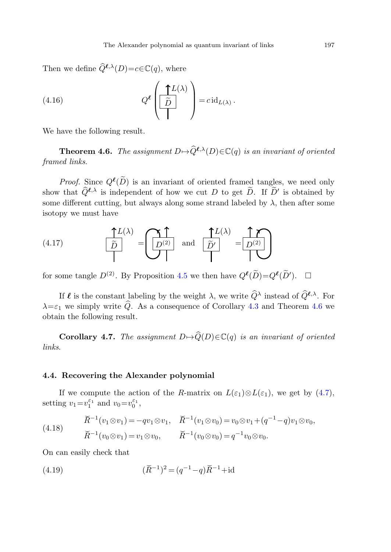Then we define  $\widehat{Q}^{\ell,\lambda}(D) = c \in \mathbb{C}(q)$ , where

<span id="page-20-0"></span>(4.16) 
$$
Q^{\ell}\left(\frac{\uparrow L(\lambda)}{\tilde{D}}\right) = c \operatorname{id}_{L(\lambda)}.
$$

We have the following result.

**Theorem 4.6.** The assignment  $D \mapsto \widehat{Q}^{\ell,\lambda}(D) \in \mathbb{C}(q)$  is an invariant of oriented framed links.

*Proof.* Since  $Q^{\ell}(\tilde{D})$  is an invariant of oriented framed tangles, we need only show that  $Q^{\ell,\lambda}$  is independent of how we cut D to get D. If D' is obtained by<br>cause different outliers but always always strengthabled by the often agrees some different cutting, but always along some strand labeled by  $\lambda$ , then after some isotopy we must have

(4.17) 
$$
\frac{\uparrow L(\lambda)}{\tilde{D}} = \underbrace{\left(\begin{matrix} \uparrow \\ D^{(2)} \end{matrix}\right)}_{\text{and}} \text{ and } \underbrace{\left(\begin{matrix} \uparrow L(\lambda) \\ \tilde{D}' \end{matrix}\right)}_{\text{...}} = \underbrace{\left(\begin{matrix} \uparrow \\ D^{(2)} \end{matrix}\right)}_{\text{...}}
$$

for some tangle  $D^{(2)}$ . By Proposition [4.5](#page-18-1) we then have  $Q^{\ell}(\tilde{D}) = Q^{\ell}(\tilde{D}')$ .  $\Box$ 

If  $\ell$  is the constant labeling by the weight  $\lambda$ , we write  $\hat{Q}^{\lambda}$  instead of  $\hat{Q}^{\ell,\lambda}$ . For  $\lambda = \varepsilon_1$  we simply write Q. As a consequence of Corollary [4.3](#page-17-0) and Theorem [4.6](#page-20-0) we obtain the following result. Referal that the constant labeling by the weight  $\lambda$ , we write  $\hat{Q}^{\lambda}$  instead of  $\hat{Q}^{\ell,\lambda}$ <br>mply write  $\hat{Q}$ . As a consequence of Corollary 4.3 and Theorem 4<br>ollowing result.<br>ary 4.7. The assignment  $D \mapsto \hat{Q}(D$ the constant labeling by the weight  $\lambda$ , we write  $Q^{\lambda}$  in<br>
mply write  $\widehat{Q}$ . As a consequence of Corollary 4.3 ar<br>
collowing result.<br> **ary 4.7.** The assignment  $D \mapsto \widehat{Q}(D) \in \mathbb{C}(q)$  is an in<br>
vering the Alexande

**Corollary 4.7.** The assignment  $D \mapsto \widehat{Q}(D) \in \mathbb{C}(q)$  is an invariant of oriented links.

# **4.4. Recovering the Alexander polynomial**

If we compute the action of the R-matrix on  $L(\varepsilon_1) \otimes L(\varepsilon_1)$ , we get by [\(4.7\)](#page-15-0), setting  $v_1 = v_1^{\varepsilon_1}$  and  $v_0 = v_0^{\varepsilon_1}$ ,

**Corollary 4.7.** The assignment 
$$
D \mapsto \widehat{Q}(D) \in \mathbb{C}(q)
$$
 is an invariant of or  
links.  
4.4. **Recovering the Alexander polynomial**  
If we compute the action of the *R*-matrix on  $L(\varepsilon_1) \otimes L(\varepsilon_1)$ , we get by  
setting  $v_1 = v_1^{\varepsilon_1}$  and  $v_0 = v_0^{\varepsilon_1}$ ,  
 $\widetilde{R}^{-1}(v_1 \otimes v_1) = -qv_1 \otimes v_1$ ,  $\widetilde{R}^{-1}(v_1 \otimes v_0) = v_0 \otimes v_1 + (q^{-1} - q)v_1 \otimes v_0$ ,  
(4.18)  
 $\widetilde{R}^{-1}(v_0 \otimes v_1) = v_1 \otimes v_0$ ,  $\widetilde{R}^{-1}(v_0 \otimes v_0) = q^{-1}v_0 \otimes v_0$ .  
On can easily check that  
(4.19)  
 $(\widetilde{R}^{-1})^2 = (q^{-1} - q)\widetilde{R}^{-1} + id$ 

On can easily check that

(4.19) 
$$
(\check{R}^{-1})^2 = (q^{-1} - q)\check{R}^{-1} + \mathrm{id}
$$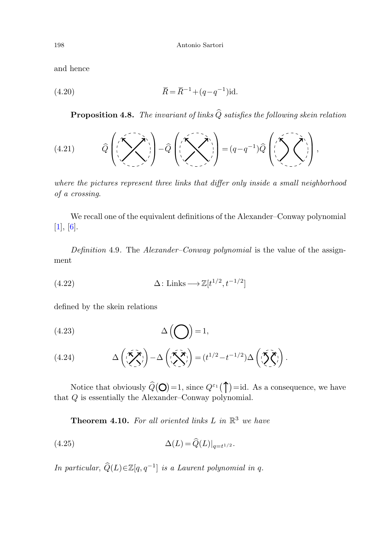and hence

198

\nAntonio Sartori

\nand hence

\n
$$
\widetilde{R} = \widetilde{R}^{-1} + (q - q^{-1})id.
$$

**Proposition 4***.***8.** The invariant of links <sup>Q</sup> satisfies the following skein relation

(4.21) 
$$
\widehat{Q}\left(\left(\sum_{n=1}^{n}\sum_{n=1}^{n}\right)^{n}\right)-\widehat{Q}\left(\left(\sum_{n=1}^{n}\sum_{n=1}^{n}\right)^{n}\right)=\left(q-q^{-1}\right)\widehat{Q}\left(\left(\sum_{n=1}^{n}\sum_{n=1}^{n}\right)^{n}\right),
$$

where the pictures represent three links that differ only inside a small neighborhood of a crossing.

We recall one of the equivalent definitions of the Alexander–Conway polynomial  $[1], [6].$  $[1], [6].$  $[1], [6].$  $[1], [6].$ 

Definition 4.9. The *Alexander–Conway polynomial* is the value of the assignment

(4.22) 
$$
\Delta: \text{Links} \longrightarrow \mathbb{Z}[t^{1/2}, t^{-1/2}]
$$

defined by the skein relations

$$
(4.23)\qquad \qquad \Delta\left(\bigodot\right) = 1,
$$

<span id="page-21-0"></span>(4.24) 
$$
\Delta \left( \sum_{i}^{n} \sum_{j}^{n} \right) - \Delta \left( \sum_{i}^{n} \sum_{j}^{n} \right) = (t^{1/2} - t^{-1/2}) \Delta \left( \sum_{i}^{n} \sum_{j}^{n} \right).
$$

Notice that obviously  $\hat{Q}(\mathbf{O})=1$ , since  $Q^{\varepsilon_1}(\mathbf{O})=$ id. As a consequence, we have that Q is essentially the Alexander–Conway polynomial.

**Theorem 4.10.** For all oriented links L in  $\mathbb{R}^3$  we have

(4.25) 
$$
\Delta(L) = \widehat{Q}(L)|_{q=t^{1/2}}.
$$

In particular,  $\widehat{Q}(L) \in \mathbb{Z}[q, q^{-1}]$  is a Laurent polynomial in q.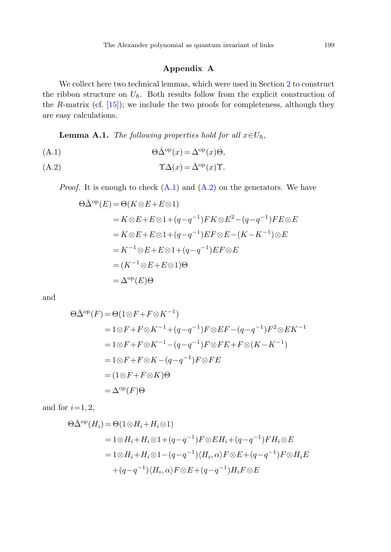# **Appendix A**

<span id="page-22-2"></span><span id="page-22-1"></span><span id="page-22-0"></span>We collect here two technical lemmas, which were used in Section [2](#page-2-0) to construct the ribbon structure on  $U_{\hbar}$ . Both results follow from the explicit construction of the R-matrix (cf.  $[15]$  $[15]$ ); we include the two proofs for completeness, although they are easy calculations.

**Lemma A.1.** The following properties hold for all  $x \in U_h$ ,

(A.1) 
$$
\Theta \bar{\Delta}^{\text{op}}(x) = \Delta^{\text{op}}(x)\Theta,
$$

$$
\Upsilon \Delta(x) = \bar{\Delta}^{\text{op}}(x) \Upsilon.
$$

*Proof.* It is enough to check  $(A.1)$  $(A.1)$  and  $(A.2)$  $(A.2)$  on the generators. We have

$$
\Theta \bar{\Delta}^{\text{op}}(E) = \Theta(K \otimes E + E \otimes 1)
$$
  
=  $K \otimes E + E \otimes 1 + (q - q^{-1})FK \otimes E^2 - (q - q^{-1})FE \otimes E$   
=  $K \otimes E + E \otimes 1 + (q - q^{-1})EF \otimes E - (K - K^{-1}) \otimes E$   
=  $K^{-1} \otimes E + E \otimes 1 + (q - q^{-1})EF \otimes E$   
=  $(K^{-1} \otimes E + E \otimes 1)\Theta$   
=  $\Delta^{\text{op}}(E)\Theta$ 

and

$$
\Theta \bar{\Delta}^{\text{op}}(F) = \Theta(1 \otimes F + F \otimes K^{-1})
$$
  
= 1 \otimes F + F \otimes K^{-1} + (q - q^{-1})F \otimes EF - (q - q^{-1})F^2 \otimes E K^{-1}  
= 1 \otimes F + F \otimes K^{-1} - (q - q^{-1})F \otimes FE + F \otimes (K - K^{-1})  
= 1 \otimes F + F \otimes K - (q - q^{-1})F \otimes FE  
= (1 \otimes F + F \otimes K) \Theta  
= \Delta^{\text{op}}(F) \Theta

and for  $i=1, 2$ ,

$$
\Theta \bar{\Delta}^{\text{op}}(H_i) = \Theta(1 \otimes H_i + H_i \otimes 1)
$$
  
= 1 \otimes H\_i + H\_i \otimes 1 + (q - q^{-1}) F \otimes EH\_i + (q - q^{-1}) FH\_i \otimes E  
= 1 \otimes H\_i + H\_i \otimes 1 - (q - q^{-1}) \langle H\_i, \alpha \rangle F \otimes E + (q - q^{-1}) F \otimes H\_i E  
+ (q - q^{-1}) \langle H\_i, \alpha \rangle F \otimes E + (q - q^{-1}) H\_i F \otimes E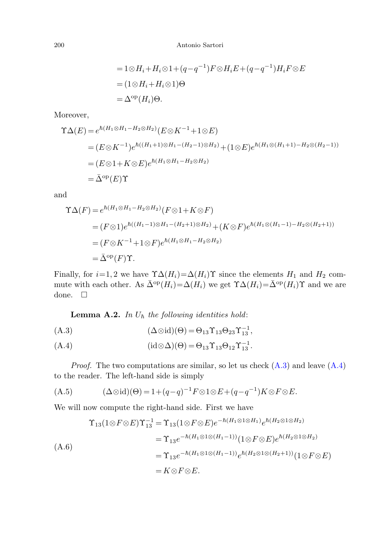$$
= 1 \otimes H_i + H_i \otimes 1 + (q - q^{-1}) F \otimes H_i E + (q - q^{-1}) H_i F \otimes E
$$
  
=  $(1 \otimes H_i + H_i \otimes 1) \Theta$   
=  $\Delta^{\rm op}(H_i) \Theta$ .

Moreover,

$$
\begin{split} \Upsilon \Delta(E) &= e^{\hbar (H_1 \otimes H_1 - H_2 \otimes H_2)} (E \otimes K^{-1} + 1 \otimes E) \\ &= (E \otimes K^{-1}) e^{\hbar ((H_1 + 1) \otimes H_1 - (H_2 - 1) \otimes H_2)} + (1 \otimes E) e^{\hbar (H_1 \otimes (H_1 + 1) - H_2 \otimes (H_2 - 1))} \\ &= (E \otimes 1 + K \otimes E) e^{\hbar (H_1 \otimes H_1 - H_2 \otimes H_2)} \\ &= \bar{\Delta}^{\text{op}}(E) \Upsilon \end{split}
$$

and

<span id="page-23-0"></span>
$$
\begin{split} \Upsilon\Delta(F) &= e^{\hbar(H_1\otimes H_1 - H_2\otimes H_2)} (F \otimes 1 + K \otimes F) \\ &= (F \otimes 1)e^{\hbar((H_1 - 1)\otimes H_1 - (H_2 + 1)\otimes H_2)} + (K \otimes F)e^{\hbar(H_1\otimes (H_1 - 1) - H_2\otimes (H_2 + 1))} \\ &= (F \otimes K^{-1} + 1 \otimes F)e^{\hbar(H_1\otimes H_1 - H_2\otimes H_2)} \\ &= \bar{\Delta}^{\text{op}}(F)\Upsilon. \end{split}
$$

<span id="page-23-2"></span><span id="page-23-1"></span>Finally, for  $i=1, 2$  we have  $\Upsilon \Delta(H_i) = \Delta(H_i) \Upsilon$  since the elements  $H_1$  and  $H_2$  commute with each other. As  $\bar{\Delta}^{\text{op}}(H_i) = \Delta(H_i)$  we get  $\Upsilon \Delta(H_i) = \bar{\Delta}^{\text{op}}(H_i) \Upsilon$  and we are done.  $\Box$ 

**Lemma A.2.** In  $U_{\hbar}$  the following identities hold:

<span id="page-23-3"></span>(A.3) 
$$
(\Delta \otimes id)(\Theta) = \Theta_{13} \Upsilon_{13} \Theta_{23} \Upsilon_{13}^{-1},
$$

$$
(A.4) \qquad (id \otimes \Delta)(\Theta) = \Theta_{13} \Upsilon_{13} \Theta_{12} \Upsilon_{13}^{-1}.
$$

*Proof.* The two computations are similar, so let us check  $(A.3)$  and leave  $(A.4)$  $(A.4)$ to the reader. The left-hand side is simply

(A.5) 
$$
(\Delta \otimes id)(\Theta) = 1 + (q - q)^{-1} F \otimes 1 \otimes E + (q - q^{-1}) K \otimes F \otimes E.
$$

We will now compute the right-hand side. First we have

$$
\begin{split} \Upsilon_{13}(1 \otimes F \otimes E) \Upsilon_{13}^{-1} &= \Upsilon_{13}(1 \otimes F \otimes E)e^{-\hbar(H_1 \otimes 1 \otimes H_1)}e^{\hbar(H_2 \otimes 1 \otimes H_2)}\\ &= \Upsilon_{13}e^{-\hbar(H_1 \otimes 1 \otimes (H_1 - 1))} \big(1 \otimes F \otimes E\big)e^{\hbar(H_2 \otimes 1 \otimes H_2)}\\ &= \Upsilon_{13}e^{-\hbar(H_1 \otimes 1 \otimes (H_1 - 1))}e^{\hbar(H_2 \otimes 1 \otimes (H_2 + 1))} \big(1 \otimes F \otimes E\big)\\ &= K \otimes F \otimes E. \end{split}
$$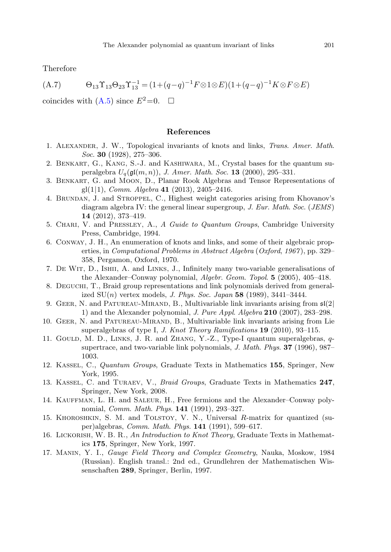<span id="page-24-0"></span>Therefore

<span id="page-24-10"></span>(A.7) 
$$
\Theta_{13} \Upsilon_{13} \Theta_{23} \Upsilon_{13}^{-1} = (1 + (q - q)^{-1} F \otimes 1 \otimes E)(1 + (q - q)^{-1} K \otimes F \otimes E)
$$

<span id="page-24-12"></span><span id="page-24-4"></span>coincides with  $(A.5)$  $(A.5)$  since  $E^2=0$ .  $\Box$ 

#### **References**

- <span id="page-24-7"></span>1. Alexander, J. W., Topological invariants of knots and links, Trans. Amer. Math. Soc. **30** (1928), 275–306.
- <span id="page-24-13"></span>2. Benkart, G., Kang, S.-J. and Kashiwara, M., Crystal bases for the quantum superalgebra  $U_q(\mathfrak{gl}(m, n))$ , *J. Amer. Math. Soc.* **13** (2000), 295–331.
- 3. Benkart, G. and Moon, D., Planar Rook Algebras and Tensor Representations of gl(1|1), Comm. Algebra **41** (2013), 2405–2416.
- <span id="page-24-5"></span>4. Brundan, J. and Stroppel, C., Highest weight categories arising from Khovanov's diagram algebra IV: the general linear supergroup, J. Eur. Math. Soc. (JEMS) **14** (2012), 373–419.
- 5. Chari, V. and Pressley, A., A Guide to Quantum Groups, Cambridge University Press, Cambridge, 1994.
- 6. Conway, J. H., An enumeration of knots and links, and some of their algebraic properties, in Computational Problems in Abstract Algebra (Oxford, 1967 ), pp. 329– 358, Pergamon, Oxford, 1970.
- <span id="page-24-6"></span>7. De Wit, D., Ishii, A. and Links, J., Infinitely many two-variable generalisations of the Alexander–Conway polynomial, Algebr. Geom. Topol. **5** (2005), 405–418.
- <span id="page-24-8"></span>8. Deguchi, T., Braid group representations and link polynomials derived from generalized SU(n) vertex models, J. Phys. Soc. Japan **58** (1989), 3441–3444.
- 9. GEER, N. and PATUREAU-MIRAND, B., Multivariable link invariants arising from  $\mathfrak{sl}(2)$ 1) and the Alexander polynomial, J. Pure Appl. Algebra **210** (2007), 283–298.
- <span id="page-24-3"></span><span id="page-24-2"></span>10. Geer, N. and Patureau-Mirand, B., Multivariable link invariants arising from Lie superalgebras of type I, J. Knot Theory Ramifications **19** (2010), 93–115.
- <span id="page-24-11"></span>11. Gould, M. D., Links, J. R. and Zhang, Y.-Z., Type-I quantum superalgebras, qsupertrace, and two-variable link polynomials, J. Math. Phys. **37** (1996), 987– 1003.
- <span id="page-24-1"></span>12. Kassel, C., Quantum Groups, Graduate Texts in Mathematics **155**, Springer, New York, 1995.
- <span id="page-24-9"></span>13. Kassel, C. and Turaev, V., Braid Groups, Graduate Texts in Mathematics **247**, Springer, New York, 2008.
- 14. Kauffman, L. H. and Saleur, H., Free fermions and the Alexander–Conway polynomial, Comm. Math. Phys. **141** (1991), 293–327.
- 15. Khoroshkin, S. M. and Tolstoy, V. N., Universal R-matrix for quantized (super)algebras, Comm. Math. Phys. **141** (1991), 599–617.
- 16. Lickorish, W. B. R., An Introduction to Knot Theory, Graduate Texts in Mathematics **175**, Springer, New York, 1997.
- 17. Manin, Y. I., Gauge Field Theory and Complex Geometry, Nauka, Moskow, 1984 (Russian). English transl.: 2nd ed., Grundlehren der Mathematischen Wissenschaften **289**, Springer, Berlin, 1997.